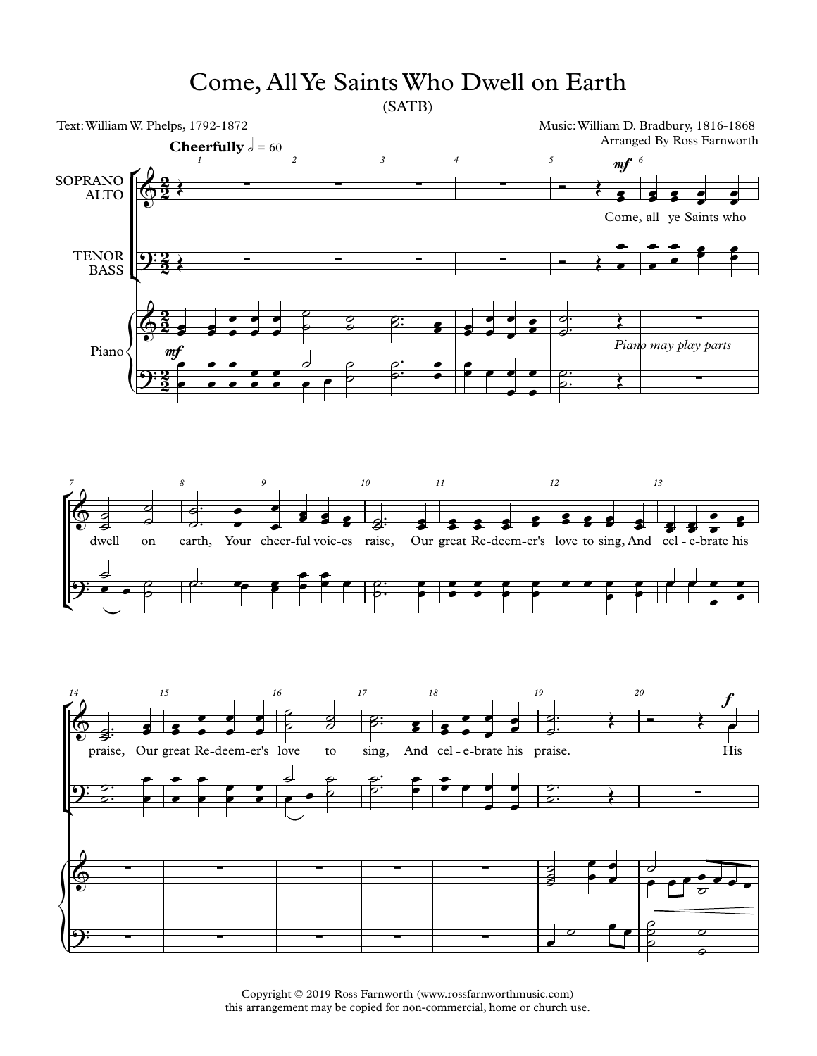## Come, AllYe SaintsWho Dwell on Earth

(SATB)



Copyright © 2019 Ross Farnworth (www.rossfarnworthmusic.com) this arrangement may be copied for non-commercial, home or church use.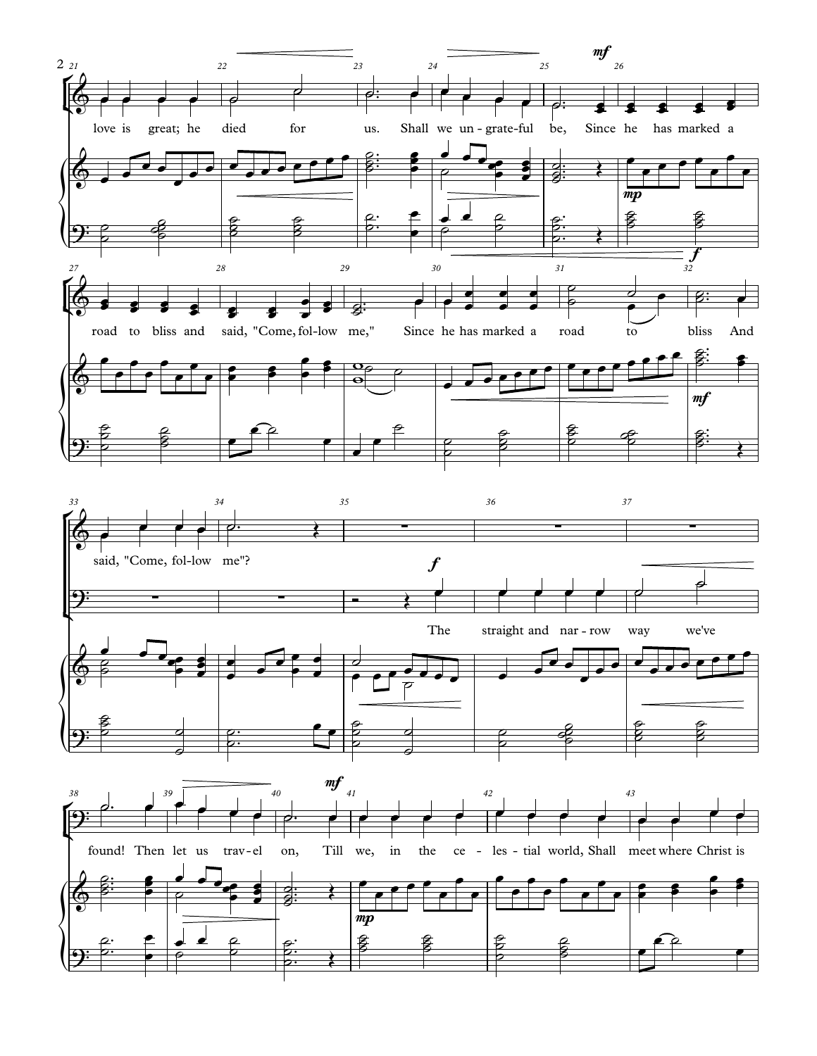